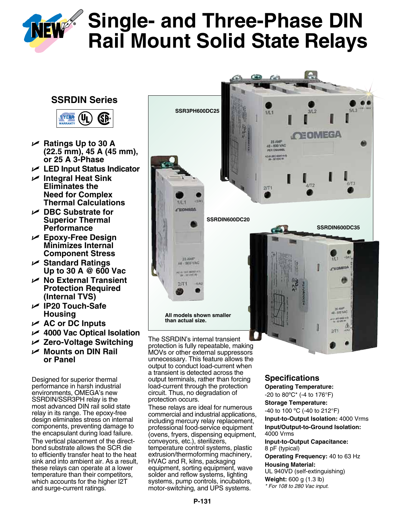

# **NEW** Single- and Three-Phase DIN **Rail Mount Solid State Relays**

# **SSRDIN Series**



- U **Ratings Up to 30 A (22.5 mm), 45 A (45 mm), or 25 A 3-Phase**
- U **LED Input Status Indicator**
- <sup>U</sup> **Integral Heat Sink Eliminates the Need for Complex Thermal Calculations**
- U **DBC Substrate for Superior Thermal Performance**
- U **Epoxy-Free Design Minimizes Internal Component Stress**
- U **Standard Ratings Up to 30 A @ 600 Vac**
- U **No External Transient Protection Required (Internal TVS)**
- U **IP20 Touch-Safe Housing**
- U **AC or DC Inputs**
- U **4000 Vac Optical Isolation**
- U **Zero-Voltage Switching**
- U **Mounts on DIN Rail or Panel**

Designed for superior thermal performance in harsh industrial environments, OMEGA's new SSRDIN/SSR3PH relay is the most advanced DIN rail solid state relay in its range. The epoxy-free design eliminates stress on internal components, preventing damage to the encapsulant during load failure. The vertical placement of the directbond substrate allows the SCR die to efficiently transfer heat to the heat sink and into ambient air. As a result, these relays can operate at a lower temperature than their competitors, which accounts for the higher I2T and surge-current ratings.



The SSRDIN's internal transient protection is fully repeatable, making MOVs or other external suppressors unnecessary. This feature allows the output to conduct load-current when a transient is detected across the output terminals, rather than forcing load-current through the protection circuit. Thus, no degradation of protection occurs.

These relays are ideal for numerous commercial and industrial applications, including mercury relay replacement, professional food-service equipment (ovens, fryers, dispensing equipment, conveyors, etc.), sterilizers, temperature control systems, plastic extrusion/thermoforming machinery, HVAC and R, kilns, packaging equipment, sorting equipment, wave solder and reflow systems, lighting systems, pump controls, incubators, motor-switching, and UPS systems.

## **Specifications**

**Operating Temperature:** -20 to 80ºC\* (-4 to 176°F) **Storage Temperature:** -40 to 100 ºC (-40 to 212°F) **Input-to-Output Isolation:** 4000 Vrms **Input/Output-to-Ground Isolation:** 4000 Vrms

**Input-to-Output Capacitance:** 8 pF (typical)

**Operating Frequency:** 40 to 63 Hz **Housing Material:**  UL 940VD (self-extinguishing)

**Weight:** 600 g (1.3 lb) *\* For 108 to 280 Vac input.*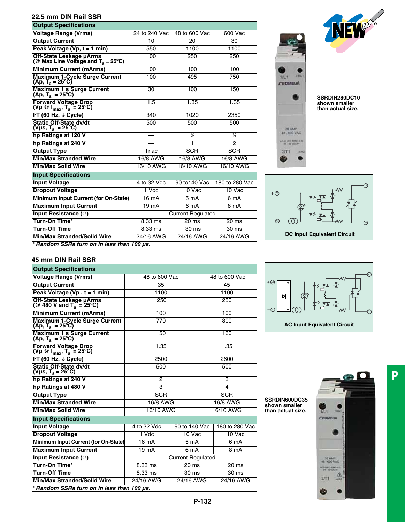#### **22.5 mm DIN Rail SSR**

| <b>Output Specifications</b>                                                   |                          |                  |                  |  |
|--------------------------------------------------------------------------------|--------------------------|------------------|------------------|--|
| <b>Voltage Range (Vrms)</b>                                                    | 24 to 240 Vac            | 48 to 600 Vac    | 600 Vac          |  |
| <b>Output Current</b>                                                          | 10                       | 20               | 30               |  |
| Peak Voltage (Vp, t = 1 min)                                                   | 550                      | 1100             | 1100             |  |
| Off-State Leakage $\mu$ Arms<br>(@ Max Line Voltage and T <sub>a</sub> = 25°C) | 100                      | 250              | 250              |  |
| <b>Minimum Current (mArms)</b>                                                 | 100                      | 100              | 100              |  |
| Maximum 1-Cycle Surge Current<br>$(Ap, T_a = 25^{\circ}C)$                     | 100                      | 495              | 750              |  |
| Maximum 1 s Surge Current<br>$(Ap, T_a = 25^{\circ}C)$                         | 30                       | 100              | 150              |  |
| Forward Voltage Drop<br>(Vp @ $I_{max}$ , T <sub>a</sub> = 25°C)               | 1.5                      | 1.35             | 1.35             |  |
| $I2T$ (60 Hz, $\frac{1}{2}$ Cycle)                                             | 340                      | 1020             | 2350             |  |
| <b>Static Off-State dv/dt</b><br>(Vµs, T <sub>a</sub> = 25°C)                  | 500                      | 500              | 500              |  |
| hp Ratings at 120 V                                                            |                          | $\frac{1}{2}$    | $\frac{3}{4}$    |  |
| hp Ratings at 240 V                                                            |                          | 1                | $\overline{2}$   |  |
| <b>Output Type</b>                                                             | Triac                    | <b>SCR</b>       | <b>SCR</b>       |  |
| <b>Min/Max Stranded Wire</b>                                                   | 16/8 AWG                 | 16/8 AWG         | 16/8 AWG         |  |
| <b>Min/Max Solid Wire</b>                                                      | 16/10 AWG                | 16/10 AWG        | 16/10 AWG        |  |
| <b>Input Specifications</b>                                                    |                          |                  |                  |  |
| <b>Input Voltage</b>                                                           | 4 to 32 Vdc              | 90 to 140 Vac    | 180 to 280 Vac   |  |
| <b>Dropout Voltage</b>                                                         | 1 Vdc                    | 10 Vac           | 10 Vac           |  |
| Minimum Input Current (for On-State)                                           | 16 mA                    | 5 <sub>m</sub> A | 6 mA             |  |
| <b>Maximum Input Current</b>                                                   | 19 <sub>m</sub> A        | 6 <sub>m</sub> A | 8 <sub>m</sub> A |  |
| Input Resistance $(\Omega)$                                                    | <b>Current Regulated</b> |                  |                  |  |
| Turn-On Time*                                                                  | 8.33 ms                  | $20 \text{ ms}$  | 20 <sub>ms</sub> |  |
| <b>Turn-Off Time</b>                                                           | $8.33 \text{ ms}$        | 30 ms            | 30 ms            |  |
| <b>Min/Max Stranded/Solid Wire</b>                                             | 24/16 AWG                | 24/16 AWG        | 24/16 AWG        |  |
| * Random SSRs turn on in less than 100 µs.                                     |                          |                  |                  |  |
|                                                                                |                          |                  |                  |  |



**SSRDIN280DC10 shown smaller than actual size.**

 $1/L1$ **CEOMEGA** 

20 AMP AGENEEMING  $2/T1$ œ



#### **45 mm DIN Rail SSR**

| <b>Output Specifications</b>                                            |                          |                  |                  |                  |  |
|-------------------------------------------------------------------------|--------------------------|------------------|------------------|------------------|--|
| <b>Voltage Range (Vrms)</b>                                             | 48 to 600 Vac            |                  | 48 to 600 Vac    |                  |  |
| <b>Output Current</b>                                                   | 35                       |                  | 45               |                  |  |
| Peak Voltage (Vp, $t = 1$ min)                                          | 1100                     |                  |                  | 1100             |  |
| Off-State Leakage $\mu$ Arms<br>(@ 480 V and T <sub>a</sub> = 25°C)     | 250                      |                  | 250              |                  |  |
| <b>Minimum Current (mArms)</b>                                          | 100                      |                  | 100              |                  |  |
| <b>Maximum 1-Cycle Surge Current</b><br>$(Ap, T_a = 25^{\circ}C)$       | 770                      |                  | 800              |                  |  |
| <b>Maximum 1 s Surge Current</b><br>$(Ap, T_a = 25^{\circ}C)$           | 150                      |                  | 160              |                  |  |
| Forward Voltage Drop<br>(Vp @ I <sub>max</sub> , T <sub>a</sub> = 25°C) | 1.35                     |                  | 1.35             |                  |  |
| $I2T$ (60 Hz, $\frac{1}{2}$ Cycle)                                      | 2500                     |                  | 2600             |                  |  |
| <b>Static Off-State dv/dt</b><br>(Vµs, T <sub>a</sub> = 25°C)           | 500                      |                  | 500              |                  |  |
| hp Ratings at 240 V                                                     | 2                        |                  | 3                |                  |  |
| hp Ratings at 480 V                                                     | $\overline{3}$           |                  | 4                |                  |  |
| <b>Output Type</b>                                                      | <b>SCR</b><br><b>SCR</b> |                  |                  |                  |  |
| <b>Min/Max Stranded Wire</b>                                            | 16/8 AWG                 |                  | 16/8 AWG         |                  |  |
| <b>Min/Max Solid Wire</b>                                               | 16/10 AWG                |                  | 16/10 AWG        |                  |  |
| <b>Input Specifications</b>                                             |                          |                  |                  |                  |  |
| <b>Input Voltage</b>                                                    | 4 to 32 Vdc              |                  | 90 to 140 Vac    | 180 to 280 Vac   |  |
| <b>Dropout Voltage</b>                                                  | 1 Vdc                    | 10 Vac           |                  | 10 Vac           |  |
| Minimum Input Current (for On-State)                                    | 16 mA                    | 5 <sub>m</sub> A |                  | 6 mA             |  |
| <b>Maximum Input Current</b>                                            | 19 mA                    | 6 mA             |                  | 8 mA             |  |
| Input Resistance $(\Omega)$                                             | <b>Current Regulated</b> |                  |                  |                  |  |
| Turn-On Time*                                                           | 8.33 ms                  |                  | 20 <sub>ms</sub> | 20 ms            |  |
| <b>Turn-Off Time</b>                                                    | $8.33 \text{ ms}$        | $30 \text{ ms}$  |                  | 30 <sub>ms</sub> |  |
| <b>Min/Max Stranded/Solid Wire</b>                                      | 24/16 AWG<br>24/16 AWG   |                  | 24/16 AWG        |                  |  |
| * Random SSRs turn on in less than 100 us.                              |                          |                  |                  |                  |  |



**SSRDIN600DC35 shown smaller than actual size.**



**P**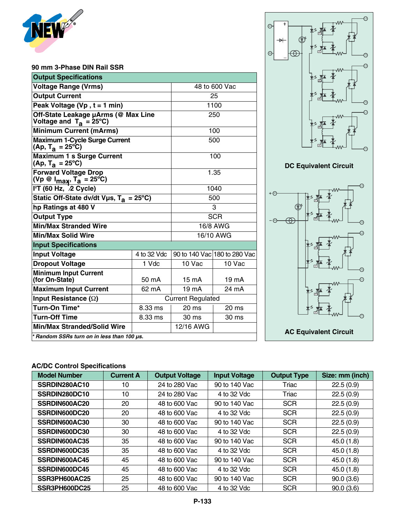

#### **90 mm 3-Phase DIN Rail SSR**

| <b>Output Specifications</b>                                                   |                          |                  |                              |  |
|--------------------------------------------------------------------------------|--------------------------|------------------|------------------------------|--|
| <b>Voltage Range (Vrms)</b>                                                    |                          | 48 to 600 Vac    |                              |  |
| <b>Output Current</b>                                                          |                          | 25               |                              |  |
| Peak Voltage (Vp, $t = 1$ min)                                                 |                          | 1100             |                              |  |
| Off-State Leakage µArms (@ Max Line<br>Voltage and $T_a = 25^{\circ}C$ )       |                          | 250              |                              |  |
| <b>Minimum Current (mArms)</b>                                                 |                          | 100              |                              |  |
| <b>Maximum 1-Cycle Surge Current</b><br>(Ap, T <sub>a</sub> = 25°C)            |                          | 500              |                              |  |
| <b>Maximum 1 s Surge Current</b><br>(Ap, T <sub>a</sub> = 25°C)                |                          | 100              |                              |  |
| <b>Forward Voltage Drop</b><br>(Vp @ $I_{\text{max}}$ , T <sub>a</sub> = 25°C) |                          | 1.35             |                              |  |
| $I2T$ (60 Hz, $Z$ Cycle)                                                       |                          | 1040             |                              |  |
| Static Off-State dv/dt Vµs, $T_a = 25^{\circ}C$ )                              |                          | 500              |                              |  |
| hp Ratings at 480 V                                                            |                          | 3                |                              |  |
| <b>Output Type</b>                                                             |                          | <b>SCR</b>       |                              |  |
| <b>Min/Max Stranded Wire</b>                                                   |                          | 16/8 AWG         |                              |  |
| <b>Min/Max Solid Wire</b>                                                      |                          | 16/10 AWG        |                              |  |
| <b>Input Specifications</b>                                                    |                          |                  |                              |  |
| <b>Input Voltage</b>                                                           | 4 to 32 Vdc              |                  | 90 to 140 Vac 180 to 280 Vac |  |
| <b>Dropout Voltage</b>                                                         | 1 Vdc                    | 10 Vac           | 10 Vac                       |  |
| <b>Minimum Input Current</b><br>(for On-State)                                 | 50 mA                    | $15 \text{ mA}$  | 19 mA                        |  |
| <b>Maximum Input Current</b>                                                   | 62 mA                    | 19 <sub>mA</sub> | 24 mA                        |  |
| Input Resistance $(\Omega)$                                                    | <b>Current Regulated</b> |                  |                              |  |
| Turn-On Time*                                                                  | 8.33 ms                  | 20 <sub>ms</sub> | 20 ms                        |  |
| <b>Turn-Off Time</b>                                                           | 8.33 ms                  | 30 <sub>ms</sub> | 30 ms                        |  |
| <b>Min/Max Stranded/Solid Wire</b>                                             |                          | 12/16 AWG        |                              |  |
| * Random SSRs turn on in less than 100 us.                                     |                          |                  |                              |  |



 $\bigodot$ 

 $\odot$ 



### **AC/DC Control Specifications**

| <b>Model Number</b> | <b>Current A</b> | <b>Output Voltage</b> | <b>Input Voltage</b> | <b>Output Type</b> | Size: mm (inch) |
|---------------------|------------------|-----------------------|----------------------|--------------------|-----------------|
| SSRDIN280AC10       | 10               | 24 to 280 Vac         | 90 to 140 Vac        | Triac              | 22.5(0.9)       |
| SSRDIN280DC10       | 10               | 24 to 280 Vac         | 4 to 32 Vdc          | Triac              | 22.5(0.9)       |
| SSRDIN600AC20       | 20               | 48 to 600 Vac         | 90 to 140 Vac        | <b>SCR</b>         | 22.5(0.9)       |
| SSRDIN600DC20       | 20               | 48 to 600 Vac         | 4 to 32 Vdc          | <b>SCR</b>         | 22.5(0.9)       |
| SSRDIN600AC30       | 30               | 48 to 600 Vac         | 90 to 140 Vac        | <b>SCR</b>         | 22.5(0.9)       |
| SSRDIN600DC30       | 30               | 48 to 600 Vac         | 4 to 32 Vdc          | <b>SCR</b>         | 22.5(0.9)       |
| SSRDIN600AC35       | 35               | 48 to 600 Vac         | 90 to 140 Vac        | <b>SCR</b>         | 45.0 (1.8)      |
| SSRDIN600DC35       | 35               | 48 to 600 Vac         | 4 to 32 Vdc          | <b>SCR</b>         | 45.0(1.8)       |
| SSRDIN600AC45       | 45               | 48 to 600 Vac         | 90 to 140 Vac        | <b>SCR</b>         | 45.0(1.8)       |
| SSRDIN600DC45       | 45               | 48 to 600 Vac         | 4 to 32 Vdc          | <b>SCR</b>         | 45.0(1.8)       |
| SSR3PH600AC25       | 25               | 48 to 600 Vac         | 90 to 140 Vac        | <b>SCR</b>         | 90.0(3.6)       |
| SSR3PH600DC25       | 25               | 48 to 600 Vac         | 4 to 32 Vdc          | <b>SCR</b>         | 90.0(3.6)       |